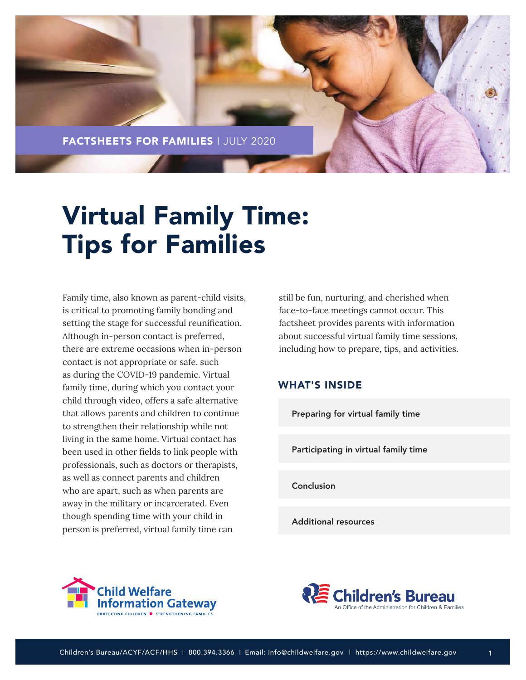

# Virtual Family Time: Tips for Families

Family time, also known as parent-child visits, is critical to promoting family bonding and setting the stage for successful reunification. Although in-person contact is preferred, there are extreme occasions when in-person contact is not appropriate or safe, such as during the COVID-19 pandemic. Virtual family time, during which you contact your child through video, offers a safe alternative that allows parents and children to continue to strengthen their relationship while not living in the same home. Virtual contact has been used in other fields to link people with professionals, such as doctors or therapists, as well as connect parents and children who are apart, such as when parents are away in the military or incarcerated. Even though spending time with your child in person is preferred, virtual family time can

still be fun, nurturing, and cherished when face-to-face meetings cannot occur. This factsheet provides parents with information about successful virtual family time sessions, including how to prepare, tips, and activities.

# WHAT'S INSIDE

[Preparing for virtual family time](#page-1-0)

[Participating in virtual family time](#page-3-0)

[Conclusion](#page-5-0)

[Additional resources](#page-5-0)





1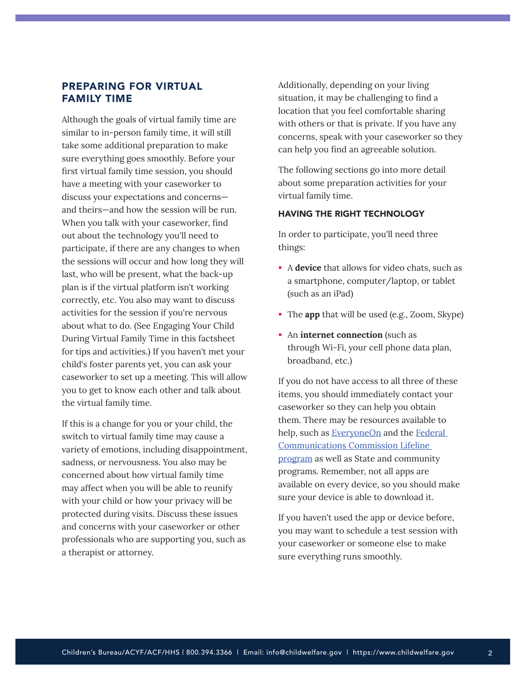# <span id="page-1-0"></span>PREPARING FOR VIRTUAL FAMILY TIME

Although the goals of virtual family time are similar to in-person family time, it will still take some additional preparation to make sure everything goes smoothly. Before your first virtual family time session, you should have a meeting with your caseworker to discuss your expectations and concerns and theirs—and how the session will be run. When you talk with your caseworker, find out about the technology you'll need to participate, if there are any changes to when the sessions will occur and how long they will last, who will be present, what the back-up plan is if the virtual platform isn't working correctly, etc. You also may want to discuss activities for the session if you're nervous about what to do. (See Engaging Your Child During Virtual Family Time in this factsheet for tips and activities.) If you haven't met your child's foster parents yet, you can ask your caseworker to set up a meeting. This will allow you to get to know each other and talk about the virtual family time.

If this is a change for you or your child, the switch to virtual family time may cause a variety of emotions, including disappointment, sadness, or nervousness. You also may be concerned about how virtual family time may affect when you will be able to reunify with your child or how your privacy will be protected during visits. Discuss these issues and concerns with your caseworker or other professionals who are supporting you, such as a therapist or attorney.

Additionally, depending on your living situation, it may be challenging to find a location that you feel comfortable sharing with others or that is private. If you have any concerns, speak with your caseworker so they can help you find an agreeable solution.

The following sections go into more detail about some preparation activities for your virtual family time.

## HAVING THE RIGHT TECHNOLOGY

In order to participate, you'll need three things:

- A **device** that allows for video chats, such as a smartphone, computer/laptop, or tablet (such as an iPad)
- The **app** that will be used (e.g., Zoom, Skype)
- **An** internet connection (such as through Wi-Fi, your cell phone data plan, broadband, etc.)

If you do not have access to all three of these items, you should immediately contact your caseworker so they can help you obtain them. There may be resources available to help, such as **[EveryoneOn](https://www.everyoneon.org/)** and the **Federal** [Communications Commission Lifeline](https://www.fcc.gov/consumers/guides/lifeline-support-affordable-communications)  [program](https://www.fcc.gov/consumers/guides/lifeline-support-affordable-communications) as well as State and community programs. Remember, not all apps are available on every device, so you should make sure your device is able to download it.

If you haven't used the app or device before, you may want to schedule a test session with your caseworker or someone else to make sure everything runs smoothly.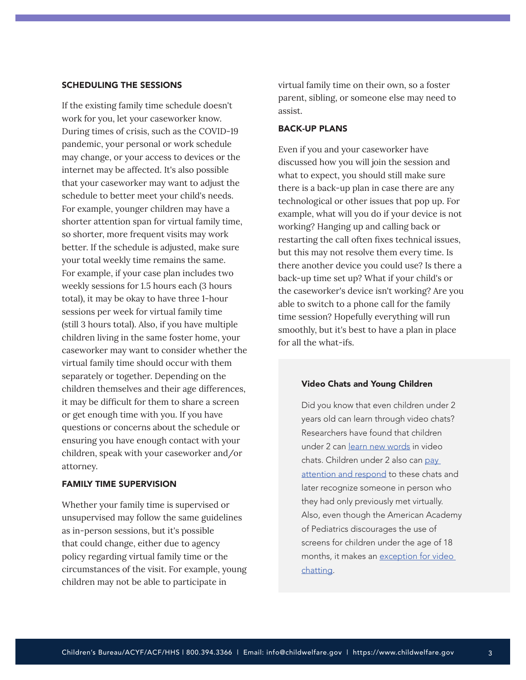## SCHEDULING THE SESSIONS

If the existing family time schedule doesn't work for you, let your caseworker know. During times of crisis, such as the COVID-19 pandemic, your personal or work schedule may change, or your access to devices or the internet may be affected. It's also possible that your caseworker may want to adjust the schedule to better meet your child's needs. For example, younger children may have a shorter attention span for virtual family time, so shorter, more frequent visits may work better. If the schedule is adjusted, make sure your total weekly time remains the same. For example, if your case plan includes two weekly sessions for 1.5 hours each (3 hours total), it may be okay to have three 1-hour sessions per week for virtual family time (still 3 hours total). Also, if you have multiple children living in the same foster home, your caseworker may want to consider whether the virtual family time should occur with them separately or together. Depending on the children themselves and their age differences, it may be difficult for them to share a screen or get enough time with you. If you have questions or concerns about the schedule or ensuring you have enough contact with your children, speak with your caseworker and/or attorney.

#### FAMILY TIME SUPERVISION

Whether your family time is supervised or unsupervised may follow the same guidelines as in-person sessions, but it's possible that could change, either due to agency policy regarding virtual family time or the circumstances of the visit. For example, young children may not be able to participate in

virtual family time on their own, so a foster parent, sibling, or someone else may need to assist.

#### BACK-UP PLANS

Even if you and your caseworker have discussed how you will join the session and what to expect, you should still make sure there is a back-up plan in case there are any technological or other issues that pop up. For example, what will you do if your device is not working? Hanging up and calling back or restarting the call often fixes technical issues, but this may not resolve them every time. Is there another device you could use? Is there a back-up time set up? What if your child's or the caseworker's device isn't working? Are you able to switch to a phone call for the family time session? Hopefully everything will run smoothly, but it's best to have a plan in place for all the what-ifs.

#### Video Chats and Young Children

Did you know that even children under 2 years old can learn through video chats? Researchers have found that children under 2 can [learn new words](https://doi.org/10.1111/cdev.12166) in video chats. Children under 2 also can [pay](https://doi.org/10.1111/desc.12430)  [attention and respond](https://doi.org/10.1111/desc.12430) to these chats and later recognize someone in person who they had only previously met virtually. Also, even though the American Academy of Pediatrics discourages the use of screens for children under the age of 18 months, it makes an exception for video [chatting](https://pediatrics.aappublications.org/content/138/5/e20162591).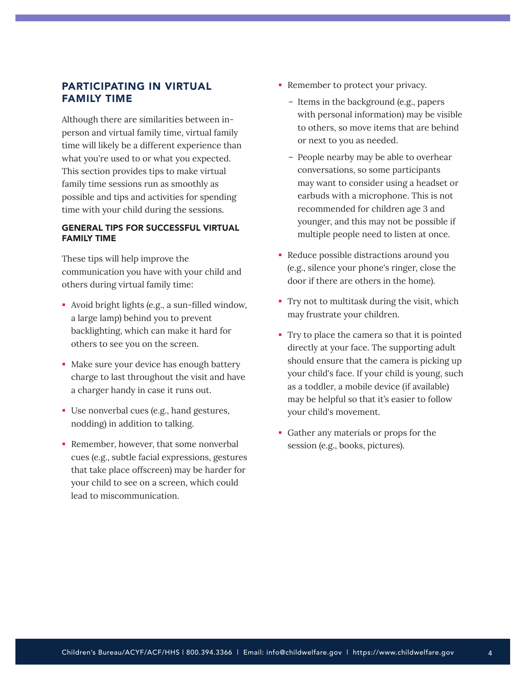# <span id="page-3-0"></span>PARTICIPATING IN VIRTUAL FAMILY TIME

Although there are similarities between inperson and virtual family time, virtual family time will likely be a different experience than what you're used to or what you expected. This section provides tips to make virtual family time sessions run as smoothly as possible and tips and activities for spending time with your child during the sessions.

## GENERAL TIPS FOR SUCCESSFUL VIRTUAL FAMILY TIME

These tips will help improve the communication you have with your child and others during virtual family time:

- Avoid bright lights (e.g., a sun-filled window, a large lamp) behind you to prevent backlighting, which can make it hard for others to see you on the screen.
- Make sure your device has enough battery charge to last throughout the visit and have a charger handy in case it runs out.
- Use nonverbal cues (e.g., hand gestures, nodding) in addition to talking.
- Remember, however, that some nonverbal cues (e.g., subtle facial expressions, gestures that take place offscreen) may be harder for your child to see on a screen, which could lead to miscommunication.
- Remember to protect your privacy.
	- Items in the background (e.g., papers with personal information) may be visible to others, so move items that are behind or next to you as needed.
	- People nearby may be able to overhear conversations, so some participants may want to consider using a headset or earbuds with a microphone. This is not recommended for children age 3 and younger, and this may not be possible if multiple people need to listen at once.
- Reduce possible distractions around you (e.g., silence your phone's ringer, close the door if there are others in the home).
- Try not to multitask during the visit, which may frustrate your children.
- Try to place the camera so that it is pointed directly at your face. The supporting adult should ensure that the camera is picking up your child's face. If your child is young, such as a toddler, a mobile device (if available) may be helpful so that it's easier to follow your child's movement.
- Gather any materials or props for the session (e.g., books, pictures).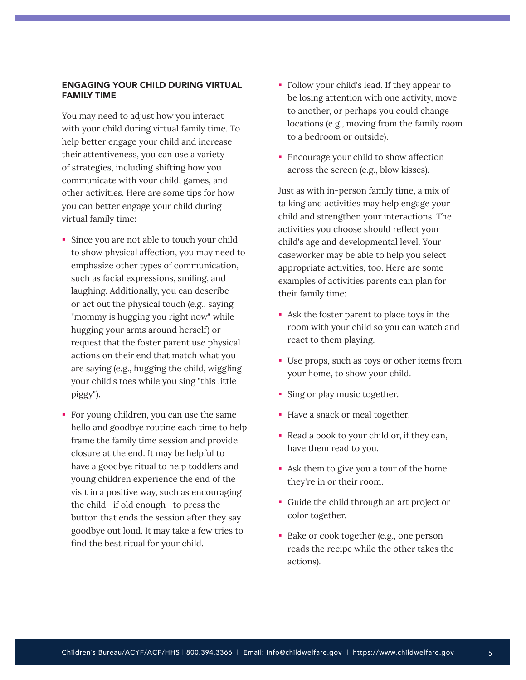## ENGAGING YOUR CHILD DURING VIRTUAL FAMILY TIME

You may need to adjust how you interact with your child during virtual family time. To help better engage your child and increase their attentiveness, you can use a variety of strategies, including shifting how you communicate with your child, games, and other activities. Here are some tips for how you can better engage your child during virtual family time:

- Since you are not able to touch your child to show physical affection, you may need to emphasize other types of communication, such as facial expressions, smiling, and laughing. Additionally, you can describe or act out the physical touch (e.g., saying "mommy is hugging you right now" while hugging your arms around herself) or request that the foster parent use physical actions on their end that match what you are saying (e.g., hugging the child, wiggling your child's toes while you sing "this little piggy").
- For young children, you can use the same hello and goodbye routine each time to help frame the family time session and provide closure at the end. It may be helpful to have a goodbye ritual to help toddlers and young children experience the end of the visit in a positive way, such as encouraging the child—if old enough—to press the button that ends the session after they say goodbye out loud. It may take a few tries to find the best ritual for your child.
- Follow your child's lead. If they appear to be losing attention with one activity, move to another, or perhaps you could change locations (e.g., moving from the family room to a bedroom or outside).
- Encourage your child to show affection across the screen (e.g., blow kisses).

Just as with in-person family time, a mix of talking and activities may help engage your child and strengthen your interactions. The activities you choose should reflect your child's age and developmental level. Your caseworker may be able to help you select appropriate activities, too. Here are some examples of activities parents can plan for their family time:

- Ask the foster parent to place toys in the room with your child so you can watch and react to them playing.
- Use props, such as toys or other items from your home, to show your child.
- Sing or play music together.
- Have a snack or meal together.
- Read a book to your child or, if they can, have them read to you.
- Ask them to give you a tour of the home they're in or their room.
- Guide the child through an art project or color together.
- Bake or cook together (e.g., one person reads the recipe while the other takes the actions).